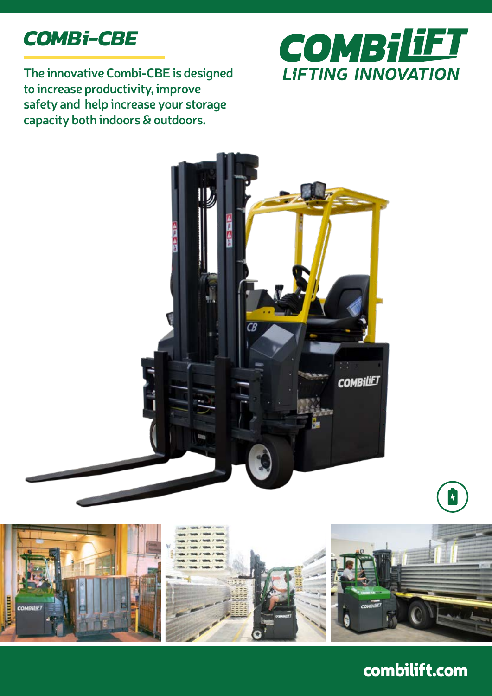# *COMBi-CBE*

**The innovative Combi-CBE is designed to increase productivity, improve safety and help increase your storage capacity both indoors & outdoors.** 







## combilift.com

 $\vert \hspace{0.1cm} \textbf{+}$